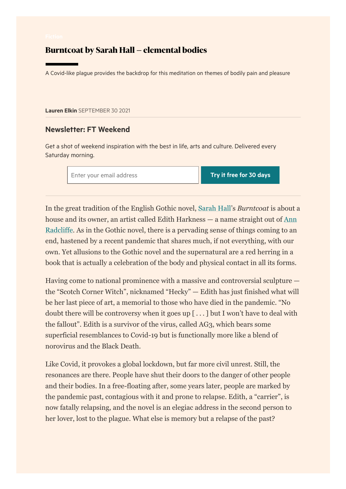## Burntcoat by Sarah Hall – elemental bodies

A Covid-like plague provides the backdrop for this meditation on themes of bodily pain and pleasure

[Lauren](https://www.ft.com/stream/7db08ef1-a69e-32c1-a36d-390ee0b73ae5) Elkin SEPTEMBER 30 2021

## Newsletter: FT Weekend

Get a shot of weekend inspiration with the best in life, arts and culture. Delivered every Saturday morning.

Enter your email address Try it free for 30 days

In the great tradition of the English Gothic novel, [Sarah Hall'](https://www.ft.com/content/b7f6401e-fb7f-11e9-a354-36acbbb0d9b6)s *Burntcoat* is about a [house and its owner, an artist called Edith Harkness — a name straight out of Ann](https://www.ft.com/content/df9e2a5e-d6b0-11e8-a854-33d6f82e62f8) Radcliffe. As in the Gothic novel, there is a pervading sense of things coming to an end, hastened by a recent pandemic that shares much, if not everything, with our own. Yet allusions to the Gothic novel and the supernatural are a red herring in a book that is actually a celebration of the body and physical contact in all its forms.

Having come to national prominence with a massive and controversial sculpture the "Scotch Corner Witch", nicknamed "Hecky" — Edith has just finished what will be her last piece of art, a memorial to those who have died in the pandemic. "No doubt there will be controversy when it goes up [ . . . ] but I won't have to deal with the fallout". Edith is a survivor of the virus, called AG3, which bears some superficial resemblances to Covid-19 but is functionally more like a blend of norovirus and the Black Death.

Like Covid, it provokes a global lockdown, but far more civil unrest. Still, the resonances are there. People have shut their doors to the danger of other people and their bodies. In a free-floating after, some years later, people are marked by the pandemic past, contagious with it and prone to relapse. Edith, a "carrier", is now fatally relapsing, and the novel is an elegiac address in the second person to her lover, lost to the plague. What else is memory but a relapse of the past?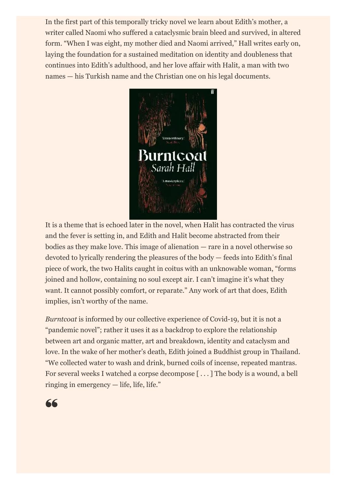In the first part of this temporally tricky novel we learn about Edith's mother, a writer called Naomi who suffered a cataclysmic brain bleed and survived, in altered form. "When I was eight, my mother died and Naomi arrived," Hall writes early on, laying the foundation for a sustained meditation on identity and doubleness that continues into Edith's adulthood, and her love affair with Halit, a man with two names — his Turkish name and the Christian one on his legal documents.



It is a theme that is echoed later in the novel, when Halit has contracted the virus and the fever is setting in, and Edith and Halit become abstracted from their bodies as they make love. This image of alienation — rare in a novel otherwise so devoted to lyrically rendering the pleasures of the body — feeds into Edith's final piece of work, the two Halits caught in coitus with an unknowable woman, "forms joined and hollow, containing no soul except air. I can't imagine it's what they want. It cannot possibly comfort, or reparate." Any work of art that does, Edith implies, isn't worthy of the name.

*Burntcoat* is informed by our collective experience of Covid-19, but it is not a "pandemic novel"; rather it uses it as a backdrop to explore the relationship between art and organic matter, art and breakdown, identity and cataclysm and love. In the wake of her mother's death, Edith joined a Buddhist group in Thailand. "We collected water to wash and drink, burned coils of incense, repeated mantras. For several weeks I watched a corpse decompose [ . . . ] The body is a wound, a bell ringing in emergency — life, life, life."